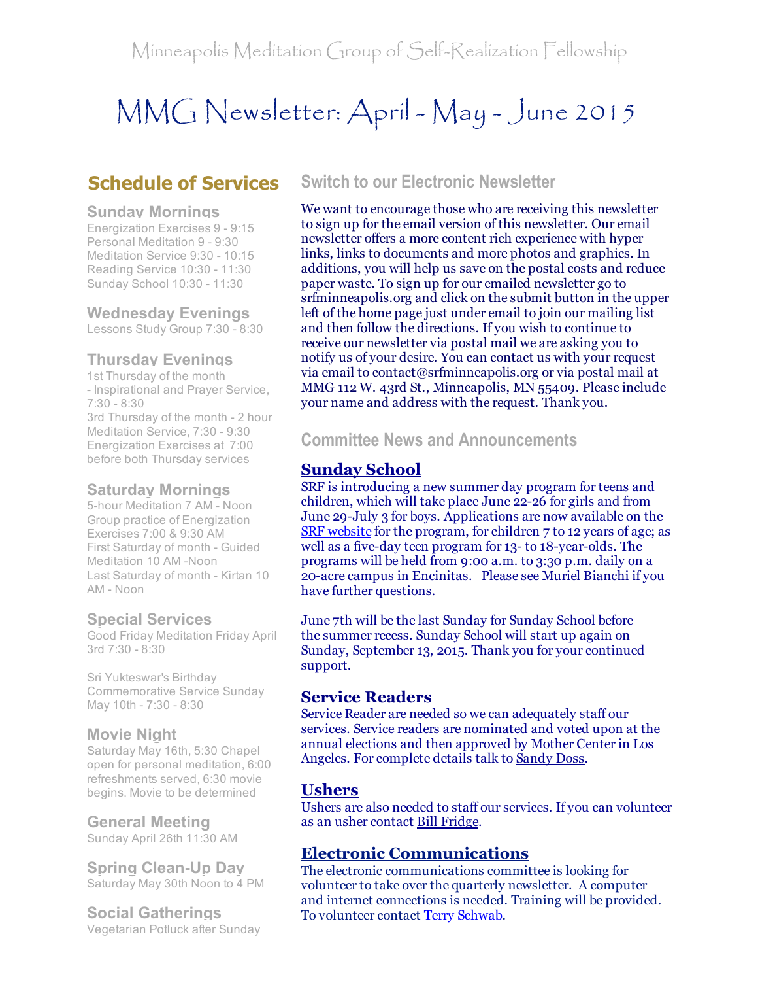# MMG Newsletter: April - May - June 2015

# Schedule of Services

#### Sunday Mornings

Energization Exercises 9 - 9:15 Personal Meditation 9 - 9:30 Meditation Service 9:30 - 10:15 Reading Service 10:30 - 11:30 Sunday School 10:30 - 11:30

Wednesday Evenings

Lessons Study Group 7:30 - 8:30

## Thursday Evenings

1st Thursday of the month - Inspirational and Prayer Service,  $7:30 - 8:30$ 3rd Thursday of the month - 2 hour Meditation Service, 7:30 - 9:30 Energization Exercises at 7:00 before both Thursday services

#### Saturday Mornings

5-hour Meditation 7 AM - Noon Group practice of Energization Exercises 7:00 & 9:30 AM First Saturday of month - Guided Meditation 10 AM -Noon Last Saturday of month - Kirtan 10 AM - Noon

### Special Services

Good Friday Meditation Friday April 3rd 7:30 - 8:30

Sri Yukteswar's Birthday Commemorative Service Sunday May 10th - 7:30 - 8:30

### Movie Night

Saturday May 16th, 5:30 Chapel open for personal meditation, 6:00 refreshments served, 6:30 movie begins. Movie to be determined

### General Meeting

Sunday April 26th 11:30 AM

**Spring Clean-Up Day** Saturday May 30th Noon to 4 PM

Social Gatherings Vegetarian Potluck after Sunday

## Switch to our Electronic Newsletter

We want to encourage those who are receiving this newsletter to sign up for the email version of this newsletter. Our email newsletter offers a more content rich experience with hyper links, links to documents and more photos and graphics. In additions, you will help us save on the postal costs and reduce paper waste. To sign up for our emailed newsletter go to srfminneapolis.org and click on the submit button in the upper left of the home page just under email to join our mailing list and then follow the directions. If you wish to continue to receive our newsletter via postal mail we are asking you to notify us of your desire. You can contact us with your request via email to contact@srfminneapolis.org or via postal mail at MMG 112 W. 43rd St., Minneapolis, MN 55409. Please include your name and address with the request. Thank you.

Committee News and Announcements

## Sunday School

SRF is introducing a new summer day program for teens and children, which will take place June 22-26 for girls and from June 29-July 3 for boys. Applications are now available on the SRF [website](http://r20.rs6.net/tn.jsp?e=001taAsRUfEqEJhgNyb-KU5JfjbLybtCm7-rzQOqL6GqenwjMvfaH2YGTbljXOLhAUIomSV306hXtQHRVoWEQrU1HXFfjA0N-xNneNCV_zvM_AIxmF5gEAVTlnjoWL_7uDTJTkGEijg_sv65LjEWk8YWvc6sehpy2oOw9Q1gCP0l4A=) for the program, for children 7 to 12 years of age; as well as a five-day teen program for 13- to 18-year-olds. The programs will be held from 9:00 a.m. to 3:30 p.m. daily on a 20-acre campus in Encinitas. Please see Muriel Bianchi if you have further questions.

June 7th will be the last Sunday for Sunday School before the summer recess. Sunday School will start up again on Sunday, September 13, 2015. Thank you for your continued support.

## Service Readers

Service Reader are needed so we can adequately staff our services. Service readers are nominated and voted upon at the annual elections and then approved by Mother Center in Los Angeles. For complete details talk to [Sandy](mailto:sandydoss77@comcast.net) Doss.

## **Ushers**

Ushers are also needed to staff our services. If you can volunteer as an usher contact Bill [Fridge.](mailto:williamfridge8976@gmail.com)

## Electronic Communications

The electronic communications committee is looking for volunteer to take over the quarterly newsletter. A computer and internet connections is needed. Training will be provided. To volunteer contact Terry [Schwab.](mailto:terry@schwabreg.com)